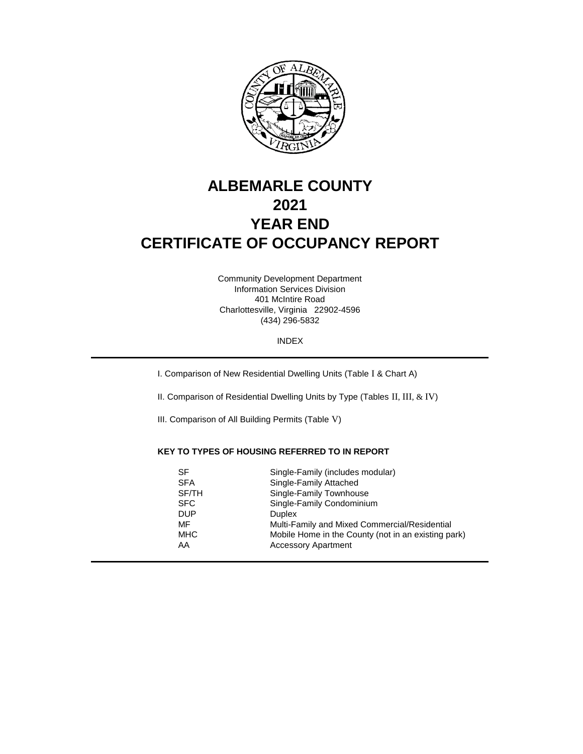

# **ALBEMARLE COUNTY 2021 YEAR END CERTIFICATE OF OCCUPANCY REPORT**

401 McIntire Road Charlottesville, Virginia 22902-4596 (434) 296-5832 Information Services Division Community Development Department

INDEX

I. Comparison of New Residential Dwelling Units (Table I & Chart A)

II. Comparison of Residential Dwelling Units by Type (Tables II, III, & IV)

III. Comparison of All Building Permits (Table V)

## **KEY TO TYPES OF HOUSING REFERRED TO IN REPORT**

| SF         | Single-Family (includes modular)                    |
|------------|-----------------------------------------------------|
| <b>SFA</b> | Single-Family Attached                              |
| SF/TH      | Single-Family Townhouse                             |
| <b>SFC</b> | Single-Family Condominium                           |
| <b>DUP</b> | <b>Duplex</b>                                       |
| MF         | Multi-Family and Mixed Commercial/Residential       |
| <b>MHC</b> | Mobile Home in the County (not in an existing park) |
| AA         | <b>Accessory Apartment</b>                          |
|            |                                                     |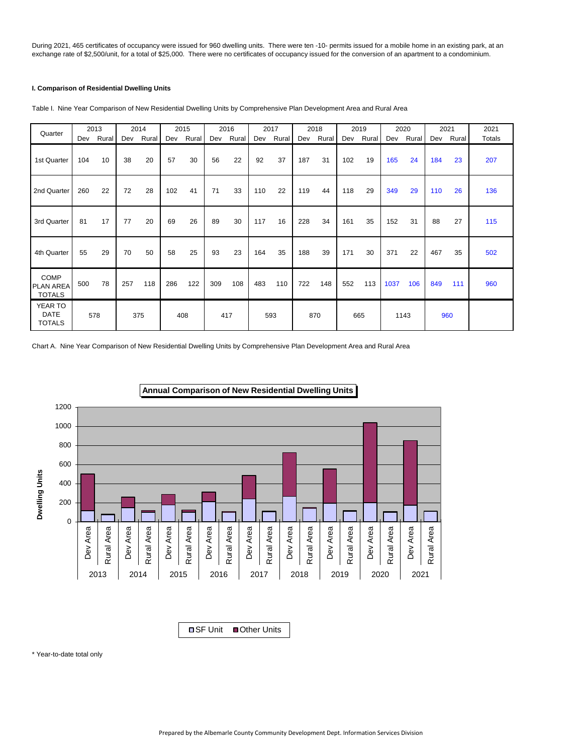During 2021, 465 certificates of occupancy were issued for 960 dwelling units. There were ten -10- permits issued for a mobile home in an existing park, at an exchange rate of \$2,500/unit, for a total of \$25,000. There were no certificates of occupancy issued for the conversion of an apartment to a condominium.

## **I. Comparison of Residential Dwelling Units**

| Quarter                                          |     | 2013  |     | 2014  |     | 2015  |     | 2016  |     | 2017  |     | 2018  |     | 2019  |      | 2020  |     | 2021  | 2021   |
|--------------------------------------------------|-----|-------|-----|-------|-----|-------|-----|-------|-----|-------|-----|-------|-----|-------|------|-------|-----|-------|--------|
|                                                  | Dev | Rural | Dev | Rural | Dev | Rural | Dev | Rural | Dev | Rural | Dev | Rural | Dev | Rural | Dev  | Rural | Dev | Rural | Totals |
| 1st Quarter                                      | 104 | 10    | 38  | 20    | 57  | 30    | 56  | 22    | 92  | 37    | 187 | 31    | 102 | 19    | 165  | 24    | 184 | 23    | 207    |
| 2nd Quarter                                      | 260 | 22    | 72  | 28    | 102 | 41    | 71  | 33    | 110 | 22    | 119 | 44    | 118 | 29    | 349  | 29    | 110 | 26    | 136    |
| 3rd Quarter                                      | 81  | 17    | 77  | 20    | 69  | 26    | 89  | 30    | 117 | 16    | 228 | 34    | 161 | 35    | 152  | 31    | 88  | 27    | 115    |
| 4th Quarter                                      | 55  | 29    | 70  | 50    | 58  | 25    | 93  | 23    | 164 | 35    | 188 | 39    | 171 | 30    | 371  | 22    | 467 | 35    | 502    |
| <b>COMP</b><br><b>PLAN AREA</b><br><b>TOTALS</b> | 500 | 78    | 257 | 118   | 286 | 122   | 309 | 108   | 483 | 110   | 722 | 148   | 552 | 113   | 1037 | 106   | 849 | 111   | 960    |
| YEAR TO<br><b>DATE</b><br><b>TOTALS</b>          |     | 578   |     | 375   |     | 408   |     | 417   |     | 593   |     | 870   |     | 665   |      | 1143  |     | 960   |        |

Table I. Nine Year Comparison of New Residential Dwelling Units by Comprehensive Plan Development Area and Rural Area

Chart A. Nine Year Comparison of New Residential Dwelling Units by Comprehensive Plan Development Area and Rural Area





\* Year-to-date total only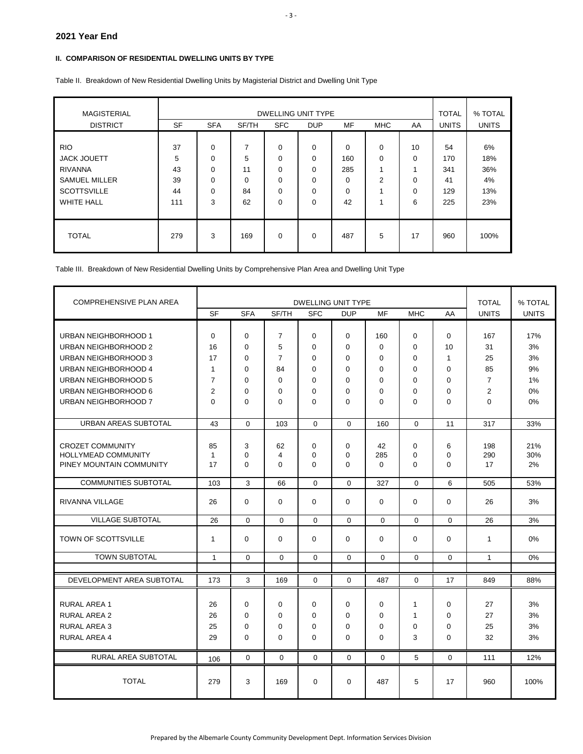## **II. COMPARISON OF RESIDENTIAL DWELLING UNITS BY TYPE**

| <b>MAGISTERIAL</b><br><b>DISTRICT</b>                                                                                 | <b>SF</b>                        | <b>TOTAL</b><br><b>UNITS</b>                           | % TOTAL<br><b>UNITS</b>              |                            |                                                 |                                        |                                               |                               |                                      |                                      |
|-----------------------------------------------------------------------------------------------------------------------|----------------------------------|--------------------------------------------------------|--------------------------------------|----------------------------|-------------------------------------------------|----------------------------------------|-----------------------------------------------|-------------------------------|--------------------------------------|--------------------------------------|
| <b>RIO</b><br><b>JACK JOUETT</b><br><b>RIVANNA</b><br><b>SAMUEL MILLER</b><br><b>SCOTTSVILLE</b><br><b>WHITE HALL</b> | 37<br>5<br>43<br>39<br>44<br>111 | $\Omega$<br>$\Omega$<br>0<br>$\Omega$<br>$\Omega$<br>3 | 7<br>5<br>11<br>$\Omega$<br>84<br>62 | 0<br>0<br>0<br>0<br>0<br>0 | $\Omega$<br>0<br>0<br>$\Omega$<br>$\Omega$<br>0 | $\Omega$<br>160<br>285<br>0<br>0<br>42 | $\Omega$<br>0<br>$\overline{\mathbf{A}}$<br>2 | 10<br>0<br>0<br>$\Omega$<br>6 | 54<br>170<br>341<br>41<br>129<br>225 | 6%<br>18%<br>36%<br>4%<br>13%<br>23% |
| <b>TOTAL</b>                                                                                                          | 279                              | 3                                                      | 169                                  | 0                          | 0                                               | 487                                    | 5                                             | 17                            | 960                                  | 100%                                 |

Table II. Breakdown of New Residential Dwelling Units by Magisterial District and Dwelling Unit Type

Table III. Breakdown of New Residential Dwelling Units by Comprehensive Plan Area and Dwelling Unit Type

| <b>COMPREHENSIVE PLAN AREA</b> |                |             |                | <b>TOTAL</b> | % TOTAL     |             |              |              |                |              |
|--------------------------------|----------------|-------------|----------------|--------------|-------------|-------------|--------------|--------------|----------------|--------------|
|                                | <b>SF</b>      | <b>SFA</b>  | SF/TH          | <b>SFC</b>   | <b>DUP</b>  | MF          | <b>MHC</b>   | AA           | <b>UNITS</b>   | <b>UNITS</b> |
|                                |                |             |                |              |             |             |              |              |                |              |
| URBAN NEIGHBORHOOD 1           | $\mathbf 0$    | $\mathbf 0$ | $\overline{7}$ | $\mathbf 0$  | $\mathbf 0$ | 160         | $\Omega$     | $\mathbf 0$  | 167            | 17%          |
| URBAN NEIGHBORHOOD 2           | 16             | $\mathbf 0$ | 5              | 0            | $\Omega$    | $\mathbf 0$ | $\Omega$     | 10           | 31             | 3%           |
| URBAN NEIGHBORHOOD 3           | 17             | $\Omega$    | $\overline{7}$ | $\Omega$     | $\Omega$    | $\Omega$    | $\Omega$     | $\mathbf{1}$ | 25             | 3%           |
| URBAN NEIGHBORHOOD 4           | $\mathbf{1}$   | $\mathbf 0$ | 84             | $\mathbf 0$  | $\mathbf 0$ | $\mathbf 0$ | $\mathbf 0$  | $\mathbf 0$  | 85             | 9%           |
| URBAN NEIGHBORHOOD 5           | $\overline{7}$ | 0           | $\mathbf 0$    | 0            | $\mathbf 0$ | 0           | 0            | 0            | $\overline{7}$ | 1%           |
| URBAN NEIGHBORHOOD 6           | 2              | $\mathbf 0$ | $\Omega$       | 0            | $\Omega$    | 0           | $\Omega$     | 0            | $\overline{2}$ | $0\%$        |
| URBAN NEIGHBORHOOD 7           | $\Omega$       | $\Omega$    | $\Omega$       | $\Omega$     | $\Omega$    | $\Omega$    | $\Omega$     | $\Omega$     | $\Omega$       | 0%           |
| URBAN AREAS SUBTOTAL           | 43             | $\Omega$    | 103            | $\Omega$     | $\Omega$    | 160         | $\Omega$     | 11           | 317            | 33%          |
|                                |                |             |                |              |             |             |              |              |                |              |
| <b>CROZET COMMUNITY</b>        | 85             | 3           | 62             | 0            | $\Omega$    | 42          | $\Omega$     | 6            | 198            | 21%          |
| <b>HOLLYMEAD COMMUNITY</b>     | $\mathbf{1}$   | $\Omega$    | 4              | 0            | $\mathbf 0$ | 285         | 0            | 0            | 290            | 30%          |
| PINEY MOUNTAIN COMMUNITY       | 17             | $\Omega$    | $\Omega$       | $\Omega$     | $\Omega$    | $\Omega$    | $\Omega$     | $\Omega$     | 17             | 2%           |
| <b>COMMUNITIES SUBTOTAL</b>    | 103            | 3           | 66             | $\Omega$     | $\Omega$    | 327         | $\Omega$     | 6            | 505            | 53%          |
| RIVANNA VILLAGE                | 26             | $\mathbf 0$ | $\Omega$       | $\Omega$     | $\Omega$    | $\Omega$    | $\Omega$     | $\mathbf 0$  | 26             | 3%           |
| <b>VILLAGE SUBTOTAL</b>        | 26             | $\Omega$    | $\Omega$       | $\Omega$     | $\Omega$    | $\Omega$    | $\Omega$     | $\Omega$     | 26             | 3%           |
| TOWN OF SCOTTSVILLE            | $\mathbf{1}$   | $\mathbf 0$ | 0              | $\mathbf 0$  | $\mathbf 0$ | $\mathbf 0$ | $\mathbf 0$  | $\mathbf 0$  | $\mathbf{1}$   | 0%           |
| <b>TOWN SUBTOTAL</b>           | $\mathbf{1}$   | $\Omega$    | $\Omega$       | $\Omega$     | $\Omega$    | $\Omega$    | $\Omega$     | $\Omega$     | $\mathbf{1}$   | $0\%$        |
|                                |                |             |                |              |             |             |              |              |                |              |
| DEVELOPMENT AREA SUBTOTAL      | 173            | 3           | 169            | $\Omega$     | 0           | 487         | 0            | 17           | 849            | 88%          |
|                                |                |             | $\Omega$       | $\Omega$     |             |             |              | $\Omega$     |                |              |
| <b>RURAL AREA 1</b>            | 26             | $\mathbf 0$ |                |              | $\Omega$    | $\mathbf 0$ | $\mathbf{1}$ |              | 27             | 3%           |
| <b>RURAL AREA 2</b>            | 26             | $\mathbf 0$ | $\mathbf 0$    | $\mathbf 0$  | $\mathbf 0$ | $\mathbf 0$ | $\mathbf{1}$ | $\mathbf 0$  | 27             | 3%           |
| <b>RURAL AREA 3</b>            | 25             | $\mathbf 0$ | $\mathbf 0$    | 0            | $\mathbf 0$ | 0           | 0            | 0            | 25             | 3%           |
| <b>RURAL AREA 4</b>            | 29             | $\mathbf 0$ | $\Omega$       | 0            | $\Omega$    | 0           | 3            | 0            | 32             | 3%           |
| RURAL AREA SUBTOTAL            | 106            | $\mathbf 0$ | $\mathbf 0$    | $\mathbf 0$  | $\mathbf 0$ | $\mathbf 0$ | 5            | $\mathbf 0$  | 111            | 12%          |
| <b>TOTAL</b>                   | 279            | 3           | 169            | $\mathbf 0$  | $\mathbf 0$ | 487         | 5            | 17           | 960            | 100%         |